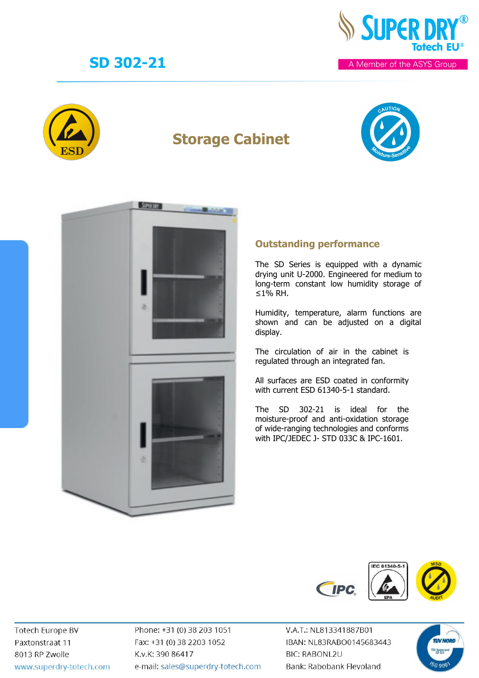

# **Storage Cabinet**





### **Outstanding performance**

The SD Series is equipped with a dynamic drying unit U-2000. Engineered for medium to long-term constant low humidity storage of ≤1% RH.

Humidity, temperature, alarm functions are shown and can be adjusted on a digital display.

The circulation of air in the cabinet is regulated through an integrated fan.

All surfaces are ESD coated in conformity with current ESD 61340-5-1 standard.

The SD 302-21 is ideal for the moisture-proof and anti-oxidation storage of wide-ranging technologies and conforms with IPC/JEDEC J- STD 033C & IPC-1601.



**Totech Europe BV** Paxtonstraat 11 8013 RP Zwolle www.superdry-totech.com Phone: +31 (0) 38 203 1051 Fax: +31 (0) 38 2203 1052 K.v.K: 390 86417 e-mail: sales@superdry-totech.com

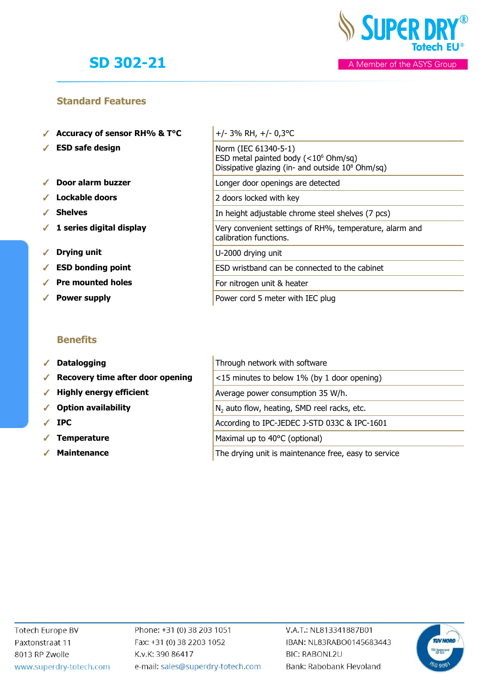

#### A Member of the ASYS Group

#### **Standard Features**

- ✓ **Accuracy of sensor RH% & T°C** +/- 3% RH, +/- 0,3°C
- ✓ **ESD safe design** Norm (IEC 61340-5-1)
- ✓ **Door alarm buzzer** Longer door openings are detected
- ✓ **Lockable doors** 2 doors locked with key
- ✓ **Shelves** In height adjustable chrome steel shelves (7 pcs)
- ✔ 1 series digital display
- ✓ **Drying unit** U-2000 drying unit
- ✔ **ESD** bonding point
- ✓ **Pre mounted holes** For nitrogen unit & heater
- ✓ **Power supply** Power cord 5 meter with IEC plug

### **Benefits**

- √ Datalogging
- ◆ Recovery time after door opening
- ◆ Highly energy efficient
- √ Option availability
- 
- **Temperature**
- 

|  | $+/- 3\%$ RH, $+/- 0,3$ °C                                                                                                      |
|--|---------------------------------------------------------------------------------------------------------------------------------|
|  | Norm (IEC 61340-5-1)<br>ESD metal painted body $(<10^6$ Ohm/sq)<br>Dissipative glazing (in- and outside 10 <sup>8</sup> Ohm/sq) |
|  | Longer door openings are detected                                                                                               |
|  | 2 doors locked with key                                                                                                         |
|  | In height adjustable chrome steel shelves (7 pcs)                                                                               |
|  | Very convenient settings of RH%, temperature, alarm and<br>calibration functions.                                               |
|  | U-2000 drying unit                                                                                                              |
|  | ESD wristband can be connected to the cabinet                                                                                   |
|  | For nitrogen unit & heater                                                                                                      |
|  | Power cord 5 meter with IEC plug                                                                                                |

|            | $\sqrt{\phantom{a}}$ Datalogging                      | Through network with software                           |
|------------|-------------------------------------------------------|---------------------------------------------------------|
|            | $\sqrt{\phantom{a}}$ Recovery time after door opening | <15 minutes to below 1% (by 1 door opening)             |
|            | $\checkmark$ Highly energy efficient                  | Average power consumption 35 W/h.                       |
|            | ✔ Option availability                                 | N <sub>2</sub> auto flow, heating, SMD reel racks, etc. |
|            | $\sqrt{IPC}$                                          | According to IPC-JEDEC J-STD 033C & IPC-1601            |
| $\sqrt{2}$ | <b>Temperature</b>                                    | Maximal up to 40°C (optional)                           |
|            |                                                       |                                                         |

**★ Maintenance** Nation The drying unit is maintenance free, easy to service

Phone: +31 (0) 38 203 1051 Fax: +31 (0) 38 2203 1052 K.v.K: 390 86417 e-mail: sales@superdry-totech.com

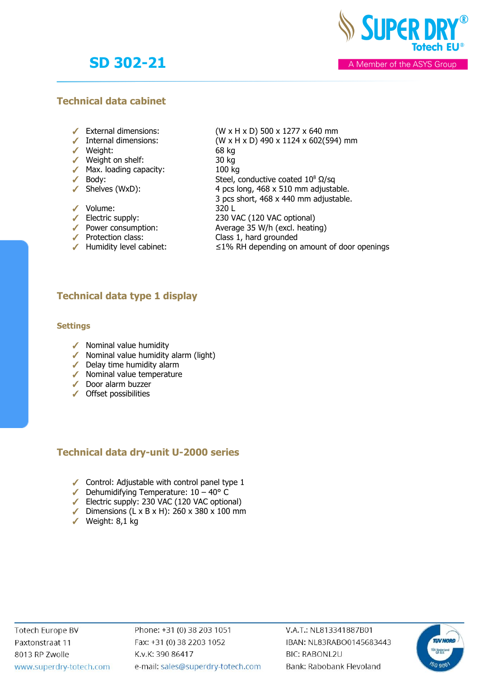

A Member of the ASYS Group

### **Technical data cabinet**

- 
- **■** External dimensions:  $(W \times H \times D)$  500 x 1277 x 640 mm<br>■ Internal dimensions:  $(W \times H \times D)$  490 x 1124 x 602(594
- ✓ Weight: 68 kg
- ✓ Weight on shelf: 30 kg
- Max. loading capacity: 100 kg<br>● Body: Steel, o
- 
- 
- $\sqrt{\phantom{a}}$  Body: Steel, conductive coated  $10^8 \Omega/\text{sq}$  $\checkmark$  Shelves (WxD): 4 pcs long, 468 x 510 mm adjustable.
	- 3 pcs short, 468 x 440 mm adjustable.

(W x H x D) 490 x 1124 x 602(594) mm

- ✓ Volume: 320 L
	-
- ✓ Electric supply: 230 VAC (120 VAC optional) Average 35 W/h (excl. heating)
- ✓ Protection class: Class 1, hard grounded
- 
- 
- ✓ Humidity level cabinet: ≤1% RH depending on amount of door openings

## **Technical data type 1 display**

#### **Settings**

- ✓ Nominal value humidity
- ✓ Nominal value humidity alarm (light)
- ✓ Delay time humidity alarm
- ✓ Nominal value temperature
- ✓ Door alarm buzzer
- ✓ Offset possibilities

## **Technical data dry-unit U-2000 series**

- $\checkmark$  Control: Adjustable with control panel type 1
- $\blacktriangleright$  Dehumidifying Temperature:  $10 40^{\circ}$  C
- ✓ Electric supply: 230 VAC (120 VAC optional)
- ✓ Dimensions (L x B x H): 260 x 380 x 100 mm
- ✓ Weight: 8,1 kg

Phone: +31 (0) 38 203 1051 Fax: +31 (0) 38 2203 1052 K.v.K: 390 86417 e-mail: sales@superdry-totech.com

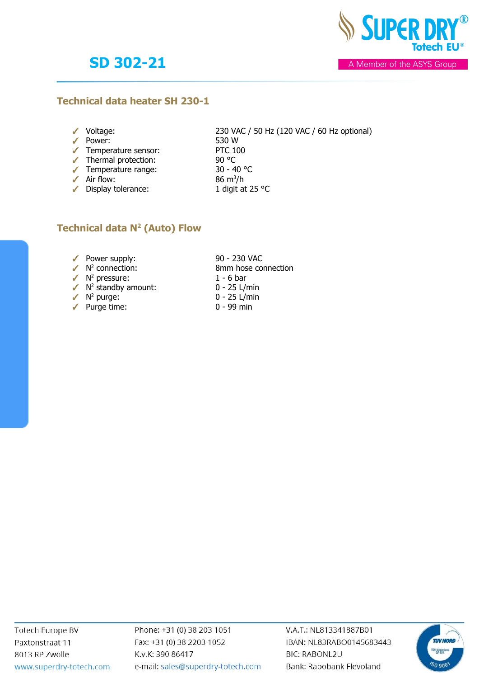**SUPER DR** 

A Member of the ASYS Group

#### **Technical data heater SH 230-1**

- 
- ✓ Power: 530 W
- ✓ Temperature sensor: PTC 100
- ✓ Thermal protection: 90 °C
- ✓ Temperature range: 30 40 °C
- 
- 

✓ Voltage: 230 VAC / 50 Hz (120 VAC / 60 Hz optional)

- 
- 
- $\triangle$  Air flow: 86 m<sup>3</sup>/h
- ✓ Display tolerance: 1 digit at 25 °C

## **Technical data N<sup>2</sup> (Auto) Flow**

- ◆ Power supply: 90 230 VAC
- $\checkmark$  N<sup>2</sup> connection:
- $\sqrt{N^2}$  pressure: 1 6 bar
- $\sqrt{N^2}$  standby amount:  $0 25$  L/min
- $\checkmark$  N<sup>2</sup> purge:
- $\sqrt{ }$  Purge time: 0 99 min
- 8mm hose connection<br>1 6 bar
- 
- 0 25 L/min
	-

Phone: +31 (0) 38 203 1051 Fax: +31 (0) 38 2203 1052 K.v.K: 390 86417 e-mail: sales@superdry-totech.com

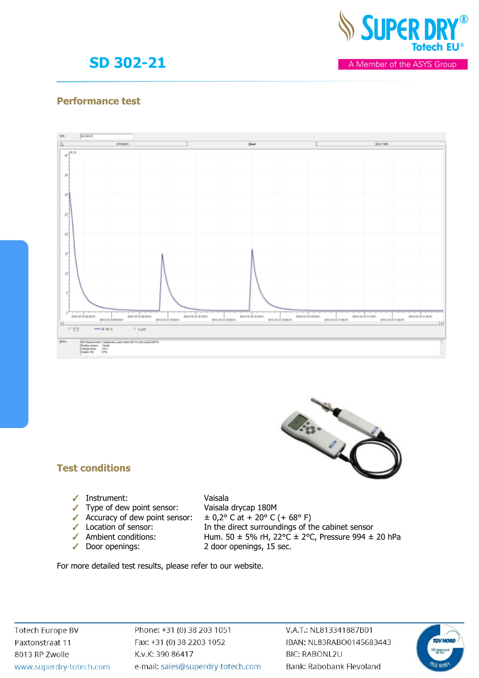

A Member of the ASYS Group

### **Performance test**





- ✓ Instrument: Vaisala
- ✓ Type of dew point sensor: Vaisala drycap 180M
- 
- 
- 
- 

- 
- ✓ Accuracy of dew point sensor: ± 0,2° C at + 20° C (+ 68° F)
- **<del>●</del>** Location of sensor: In the direct surroundings of the cabinet sensor<br>
Ambient conditions: Hum. 50 ± 5% rH, 22°C ± 2°C, Pressure 994 ± ◆ Ambient conditions: Hum. 50 ± 5% rH, 22°C ± 2°C, Pressure 994 ± 20 hPa<br>◆ Door openings: 2 door openings, 15 sec. 2 door openings, 15 sec.

Vic- 14

For more detailed test results, please refer to our website.

**Totech Europe BV** Paxtonstraat 11 8013 RP Zwolle www.superdry-totech.com Phone: +31 (0) 38 203 1051 Fax: +31 (0) 38 2203 1052 K.v.K: 390 86417 e-mail: sales@superdry-totech.com

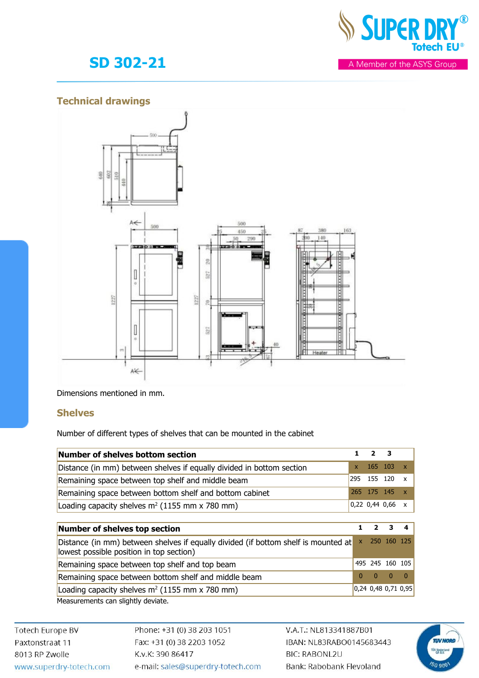

## **Technical drawings**



Dimensions mentioned in mm.

#### **Shelves**

Number of different types of shelves that can be mounted in the cabinet

| Number of shelves bottom section                                                                                               | 1        | $\mathbf{2}$             | з                   |                           |
|--------------------------------------------------------------------------------------------------------------------------------|----------|--------------------------|---------------------|---------------------------|
| Distance (in mm) between shelves if equally divided in bottom section                                                          | x        | 165 103                  |                     | $\mathbf{x}$              |
| Remaining space between top shelf and middle beam                                                                              | 295      | 155 120                  |                     | X                         |
| Remaining space between bottom shelf and bottom cabinet                                                                        | 265.     | 175 145                  |                     | $\mathbf{x}$              |
| Loading capacity shelves $m^2$ (1155 mm x 780 mm)                                                                              |          |                          | $0,22$ 0,44 0,66    | $\boldsymbol{\mathsf{x}}$ |
|                                                                                                                                |          |                          |                     |                           |
| <b>Number of shelves top section</b>                                                                                           | 1        | $\overline{\phantom{a}}$ | 3                   | 4                         |
| Distance (in mm) between shelves if equally divided (if bottom shelf is mounted at<br>lowest possible position in top section) | X        | 250                      | 160                 | -125                      |
| Remaining space between top shelf and top beam                                                                                 |          | 495 245                  | 160 105             |                           |
| Remaining space between bottom shelf and middle beam                                                                           | $\Omega$ | $\Omega$                 | $\mathbf{0}$        | $\Omega$                  |
| Loading capacity shelves $m^2$ (1155 mm x 780 mm)                                                                              |          |                          | 0,24 0,48 0,71 0,95 |                           |
| Measurements can slightly deviate.                                                                                             |          |                          |                     |                           |

**Totech Europe BV** Paxtonstraat 11 8013 RP Zwolle www.superdry-totech.com Phone: +31 (0) 38 203 1051 Fax: +31 (0) 38 2203 1052 K.v.K: 390 86417 e-mail: sales@superdry-totech.com

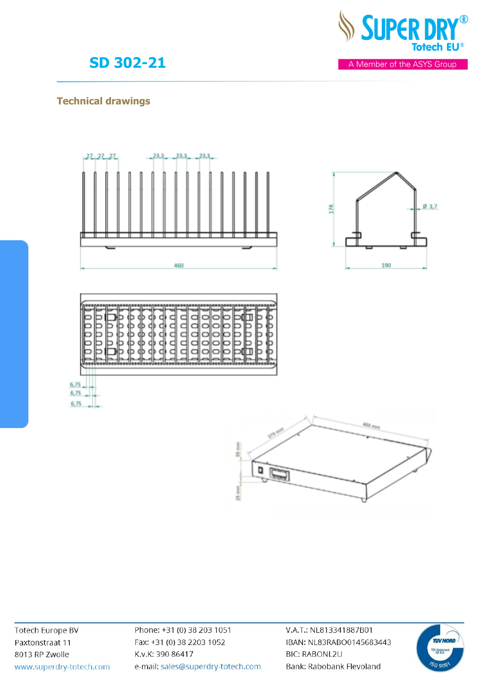

# **Technical drawings**





**Totech Europe BV** Paxtonstraat 11 8013 RP Zwolle www.superdry-totech.com Phone: +31 (0) 38 203 1051 Fax: +31 (0) 38 2203 1052 K.v.K: 390 86417 e-mail: sales@superdry-totech.com

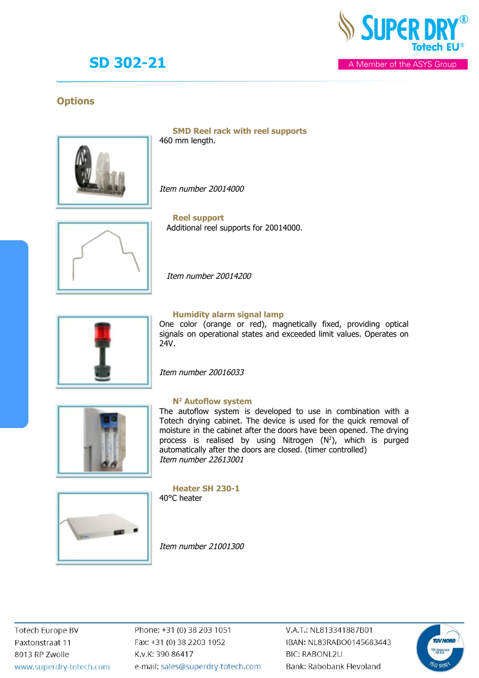

A Member of the ASYS Group

### **Options**



**SMD Reel rack with reel supports** 460 mm length.

Item number 20014000



**Reel support** Additional reel supports for 20014000.

Item number 20014200



#### **Humidity alarm signal lamp**

One color (orange or red), magnetically fixed, providing optical signals on operational states and exceeded limit values. Operates on 24V.

Item number 20016033



#### **N2 Autoflow system**

The autoflow system is developed to use in combination with a Totech drying cabinet. The device is used for the quick removal of moisture in the cabinet after the doors have been opened. The drying process is realised by using Nitrogen (N 2), which is purged automatically after the doors are closed. (timer controlled) Item number 22613001



**Heater SH 230-1** 40°C heater

Item number 21001300

Phone: +31 (0) 38 203 1051 Fax: +31 (0) 38 2203 1052 K.v.K: 390 86417 e-mail: sales@superdry-totech.com